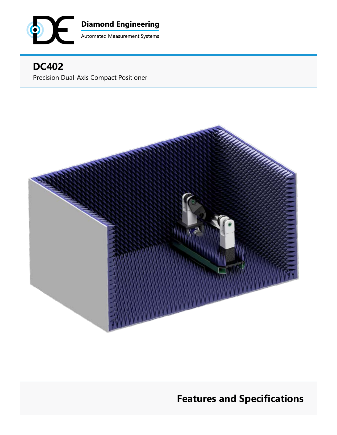

## **DC402** Precision Dual-Axis Compact Positioner



# **Features and Specifications**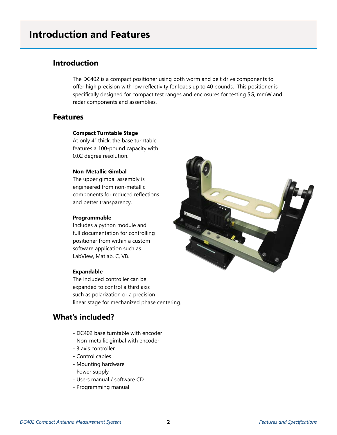# **Introduction and Features**

### **Introduction**

The DC402 is a compact positioner using both worm and belt drive components to offer high precision with low reflectivity for loads up to 40 pounds. This positioner is specifically designed for compact test ranges and enclosures for testing 5G, mmW and radar components and assemblies.

### **Features**

#### **Compact Turntable Stage**

At only 4" thick, the base turntable features a 100-pound capacity with 0.02 degree resolution.

#### **Non-Metallic Gimbal**

The upper gimbal assembly is engineered from non-metallic components for reduced reflections and better transparency.

#### **Programmable**

Includes a python module and full documentation for controlling positioner from within a custom software application such as LabView, Matlab, C, VB.

#### **Expandable**

The included controller can be expanded to control a third axis such as polarization or a precision linear stage for mechanized phase centering.

### **What's included?**

- DC402 base turntable with encoder
- Non-metallic gimbal with encoder
- 3 axis controller
- Control cables
- Mounting hardware
- Power supply
- Users manual / software CD
- Programming manual

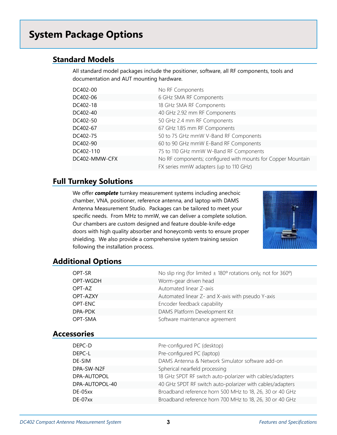# **System Package Options**

### **Standard Models**

All standard model packages include the positioner, software, all RF components, tools and documentation and AUT mounting hardware.

| DC402-00      | No RF Components                                             |
|---------------|--------------------------------------------------------------|
| DC402-06      | 6 GHz SMA RF Components                                      |
| DC402-18      | 18 GHz SMA RF Components                                     |
| DC402-40      | 40 GHz 2.92 mm RF Components                                 |
| DC402-50      | 50 GHz 2.4 mm RF Components                                  |
| DC402-67      | 67 GHz 1.85 mm RF Components                                 |
| DC402-75      | 50 to 75 GHz mmW V-Band RF Components                        |
| DC402-90      | 60 to 90 GHz mmW E-Band RF Components                        |
| DC402-110     | 75 to 110 GHz mmW W-Band RF Components                       |
| DC402-MMW-CFX | No RF components; configured with mounts for Copper Mountain |
|               | FX series mmW adapters (up to 110 GHz)                       |

### **Full Turnkey Solutions**

We offer *complete* turnkey measurement systems including anechoic chamber, VNA, positioner, reference antenna, and laptop with DAMS Antenna Measurement Studio. Packages can be tailored to meet your specific needs. From MHz to mmW, we can deliver a complete solution. Our chambers are custom designed and feature double-knife-edge doors with high quality absorber and honeycomb vents to ensure proper shielding. We also provide a comprehensive system training session following the installation process.



#### **Additional Options**

|  | OPT-SR             | No slip ring (for limited $\pm$ 180° rotations only, not for 360°) |
|--|--------------------|--------------------------------------------------------------------|
|  | OPT-WGDH           | Worm-gear driven head                                              |
|  | OPT-AZ             | Automated linear Z-axis                                            |
|  | OPT-AZXY           | Automated linear Z- and X-axis with pseudo Y-axis                  |
|  | OPT-ENC            | Encoder feedback capability                                        |
|  | DPA-PDK            | DAMS Platform Development Kit                                      |
|  | OPT-SMA            | Software maintenance agreement                                     |
|  | <b>Accessories</b> |                                                                    |
|  |                    |                                                                    |
|  | DEPC-D             | Pre-configured PC (desktop)                                        |
|  | DEPC-L             | Pre-configured PC (laptop)                                         |
|  | DE-SIM             | DAMS Antenna & Network Simulator software add-on                   |
|  | DPA-SW-N2F         | Spherical nearfield processing                                     |
|  | DPA-AUTOPOL        | 18 GHz SPDT RF switch auto-polarizer with cables/adapters          |
|  | DPA-AUTOPOL-40     | 40 GHz SPDT RF switch auto-polarizer with cables/adapters          |
|  | DE-05xx            | Broadband reference horn 500 MHz to 18, 26, 30 or 40 GHz           |
|  | DE-07xx            | Broadband reference horn 700 MHz to 18, 26, 30 or 40 GHz           |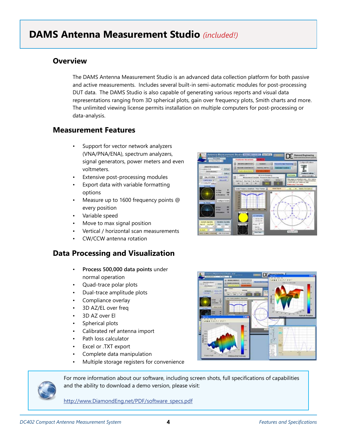# **DAMS Antenna Measurement Studio** *(included!)*

### **Overview**

The DAMS Antenna Measurement Studio is an advanced data collection platform for both passive and active measurements. Includes several built-in semi-automatic modules for post-processing DUT data. The DAMS Studio is also capable of generating various reports and visual data representations ranging from 3D spherical plots, gain over frequency plots, Smith charts and more. The unlimited viewing license permits installation on multiple computers for post-processing or data-analysis.

### **Measurement Features**

- Support for vector network analyzers (VNA/PNA/ENA), spectrum analyzers, signal generators, power meters and even voltmeters.
- Extensive post-processing modules
- Export data with variable formatting options
- Measure up to 1600 frequency points @ every position
- Variable speed
- Move to max signal position
- Vertical / horizontal scan measurements
- CW/CCW antenna rotation

### **Data Processing and Visualization**

- **Process 500,000 data points** under normal operation
- Quad-trace polar plots
- Dual-trace amplitude plots
- Compliance overlay
- 3D AZ/EL over freq
- 3D AZ over El
- Spherical plots
- Calibrated ref antenna import
- Path loss calculator
- Excel or .TXT export
- Complete data manipulation
- Multiple storage registers for convenience



For more information about our software, including screen shots, full specifications of capabilities and the ability to download a demo version, please visit:

http://www.DiamondEng.net/PDF/software\_specs.pdf



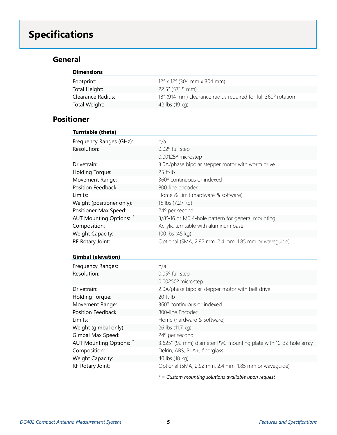# **Specifications**

### **General**

| <b>Dimensions</b> |                                                               |
|-------------------|---------------------------------------------------------------|
| Footprint:        | $12''$ x 12" (304 mm x 304 mm)                                |
| Total Height:     | $22.5''$ (571.5 mm)                                           |
| Clearance Radius: | 18" (914 mm) clearance radius required for full 360° rotation |
| Total Weight:     | 42 lbs (19 kg)                                                |

### **Positioner**

| Turntable (theta)         |                                                       |
|---------------------------|-------------------------------------------------------|
| Frequency Ranges (GHz):   | n/a                                                   |
| Resolution:               | $0.02^{\circ}$ full step                              |
|                           | 0.00125° microstep                                    |
| Drivetrain:               | 3.0A/phase bipolar stepper motor with worm drive      |
| Holding Torque:           | $25$ ft-lb                                            |
| Movement Range:           | 360° continuous or indexed                            |
| Position Feedback:        | 800-line encoder                                      |
| Limits:                   | Home & Limit (hardware & software)                    |
| Weight (positioner only): | 16 lbs (7.27 kg)                                      |
| Positioner Max Speed:     | 24° per second                                        |
| AUT Mounting Options: 1   | 3/8"-16 or M6 4-hole pattern for general mounting     |
| Composition:              | Acrylic turntable with aluminum base                  |
| Weight Capacity:          | 100 lbs (45 kg)                                       |
| RF Rotary Joint:          | Optional (SMA, 2.92 mm, 2.4 mm, 1.85 mm or waveguide) |

#### **Gimbal (elevation)**

| Frequency Ranges:       | n/a                                                              |
|-------------------------|------------------------------------------------------------------|
| Resolution:             | 0.05° full step                                                  |
|                         | 0.00250° microstep                                               |
| Drivetrain:             | 2.0A/phase bipolar stepper motor with belt drive                 |
| Holding Torque:         | $20$ ft-lb                                                       |
| Movement Range:         | 360° continuous or indexed                                       |
| Position Feedback:      | 800-line Encoder                                                 |
| Limits:                 | Home (hardware & software)                                       |
| Weight (gimbal only):   | 26 lbs (11.7 kg)                                                 |
| Gimbal Max Speed:       | 24° per second                                                   |
| AUT Mounting Options: 1 | 3.625" (92 mm) diameter PVC mounting plate with 10-32 hole array |
| Composition:            | Delrin, ABS, PLA+, fiberglass                                    |
| Weight Capacity:        | 40 lbs (18 kg)                                                   |
| RF Rotary Joint:        | Optional (SMA, 2.92 mm, 2.4 mm, 1.85 mm or wavequide)            |
|                         | $=$ Custom mounting solutions available upon request             |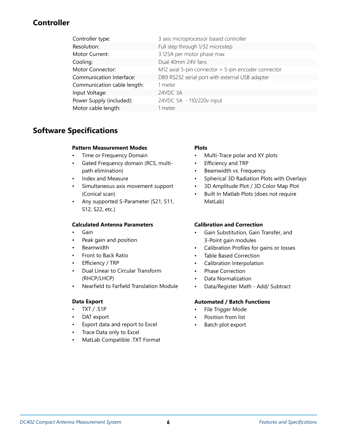### **Controller**

| Controller type:            | 3 axis microprocessor based controller              |
|-----------------------------|-----------------------------------------------------|
| Resolution:                 | Full step through 1/32 microstep                    |
| Motor Current:              | 3.125A per motor phase max                          |
| Cooling:                    | Dual 40mm 24V fans                                  |
| Motor Connector:            | M12 axial 5-pin connector + 5-pin encoder connector |
| Communication Interface:    | DB9 RS232 serial port with external USB adapter     |
| Communication cable length: | 1 meter                                             |
| Input Voltage:              | 24VDC 3A                                            |
| Power Supply (included):    | 24VDC 5A - 110/220v input                           |
| Motor cable length:         | 1 meter                                             |

### **Software Specifications**

#### **Pattern Measurement Modes**

- Time or Frequency Domain
- Gated Frequency domain (RCS, multipath elimination)
- Index and Measure
- Simultaneous axis movement support (Conical scan)
- Any supported S-Parameter (S21, S11, S12, S22, etc.)

#### **Calculated Antenna Parameters**

- Gain
- Peak gain and position
- **Beamwidth**
- Front to Back Ratio
- Efficiency / TRP
- Dual Linear to Circular Transform (RHCP/LHCP)
- Nearfield to Farfield Translation Module

#### **Data Export**

- TXT / .S1P
- DAT export
- Export data and report to Excel
- Trace Data only to Excel
- MatLab Compatible .TXT Format

#### **Plots**

- Multi-Trace polar and XY plots
- Efficiency and TRP
- Beamwidth vs. Frequency
- Spherical 3D Radiation Plots with Overlays
- 3D Amplitude Plot / 3D Color Map Plot
- Built In Matlab Plots (does not require MatLab)

#### **Calibration and Correction**

- Gain Substitution, Gain Transfer, and 3-Point gain modules
- Calibration Profiles for gains or losses
- Table Based Correction
- Calibration Interpolation
- Phase Correction
- Data Normalization
- Data/Register Math Add/ Subtract

#### **Automated / Batch Functions**

- File Trigger Mode
- Position from list
- Batch plot export